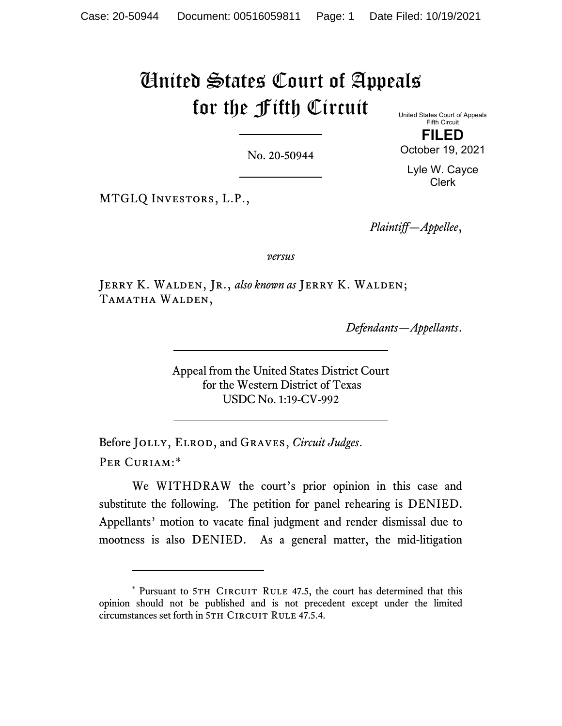## United States Court of Appeals for the Fifth Circuit United States Court of Appeals

No. 20-50944

Fifth Circuit **FILED**

October 19, 2021

Lyle W. Cayce Clerk

MTGLQ Investors, L.P.,

*Plaintiff—Appellee*,

*versus*

Jerry K. Walden, Jr., *also known as* Jerry K. Walden; Tamatha Walden,

*Defendants—Appellants*.

Appeal from the United States District Court for the Western District of Texas USDC No. 1:19-CV-992

Before Jolly, Elrod, and Graves, *Circuit Judges*. Per Curiam:[\\*](#page-0-0)

We WITHDRAW the court's prior opinion in this case and substitute the following. The petition for panel rehearing is DENIED. Appellants' motion to vacate final judgment and render dismissal due to mootness is also DENIED. As a general matter, the mid-litigation

<span id="page-0-0"></span><sup>\*</sup> Pursuant to 5TH CIRCUIT RULE 47.5, the court has determined that this opinion should not be published and is not precedent except under the limited circumstances set forth in 5TH CIRCUIT RULE 47.5.4.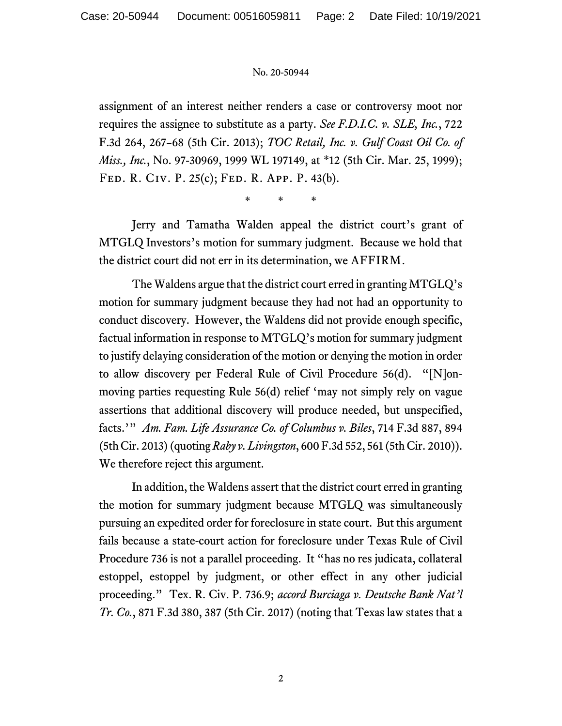## No. 20-50944

assignment of an interest neither renders a case or controversy moot nor requires the assignee to substitute as a party. *See F.D.I.C. v. SLE, Inc.*, 722 F.3d 264, 267–68 (5th Cir. 2013); *TOC Retail, Inc. v. Gulf Coast Oil Co. of Miss., Inc.*, No. 97-30969, 1999 WL 197149, at \*12 (5th Cir. Mar. 25, 1999); Fed. R. Civ. P. 25(c); Fed. R. App. P. 43(b).

\* \* \*

Jerry and Tamatha Walden appeal the district court's grant of MTGLQ Investors's motion for summary judgment. Because we hold that the district court did not err in its determination, we AFFIRM.

The Waldens argue that the district court erred in granting MTGLQ's motion for summary judgment because they had not had an opportunity to conduct discovery. However, the Waldens did not provide enough specific, factual information in response to MTGLQ's motion for summary judgment to justify delaying consideration of the motion or denying the motion in order to allow discovery per Federal Rule of Civil Procedure 56(d). "[N]onmoving parties requesting Rule 56(d) relief 'may not simply rely on vague assertions that additional discovery will produce needed, but unspecified, facts.'" *Am. Fam. Life Assurance Co. of Columbus v. Biles*, 714 F.3d 887, 894 (5th Cir. 2013)(quoting *Raby v. Livingston*, 600 F.3d 552, 561 (5th Cir. 2010)). We therefore reject this argument.

In addition, the Waldens assert that the district court erred in granting the motion for summary judgment because MTGLQ was simultaneously pursuing an expedited order for foreclosure in state court. But this argument fails because a state-court action for foreclosure under Texas Rule of Civil Procedure 736 is not a parallel proceeding. It "has no res judicata, collateral estoppel, estoppel by judgment, or other effect in any other judicial proceeding." Tex. R. Civ. P. 736.9; *accord Burciaga v. Deutsche Bank Nat'l Tr. Co.*, 871 F.3d 380, 387 (5th Cir. 2017) (noting that Texas law states that a